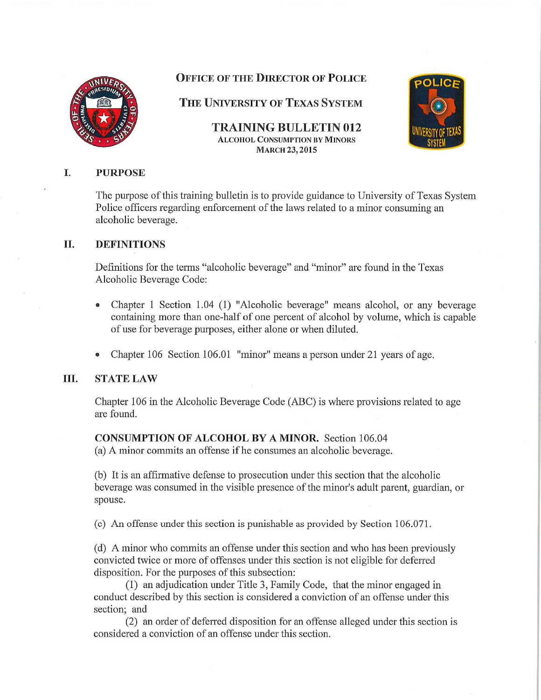

# **OFFICE OF THE DIRECTOR OF POLICE**

## THE UNIVERSITY OF TEXAS SYSTEM

**TRAINING BULLETIN 012 ALCOHOL CONSUMPTION BY MINORS MARCH 23, 2015** 



#### I. **PURPOSE**

The purpose of this training bulletin is to provide guidance to University of Texas System Police officers regarding enforcement of the laws related to a minor consuming an alcoholic beverage.

#### II. **DEFINITIONS**

Definitions for the terms "alcoholic beverage" and "minor" are found in the Texas Alcoholic Beverage Code:

- Chapter 1 Section 1.04 (1) "Alcoholic beverage" means alcohol, or any beverage containing more than one-half of one percent of alcohol by volume, which is capable of use for beverage purposes, either alone or when diluted.
- Chapter 106 Section 106.01 "minor" means a person under 21 years of age.

#### III. **STATE LAW**

Chapter 106 in the Alcoholic Beverage Code (ABC) is where provisions related to age are found.

### **CONSUMPTION OF ALCOHOL BY A MINOR.** Section 106.04

(a) A minor commits an offense if he consumes an alcoholic beverage.

(b) It is an affirmative defense to prosecution under this section that the alcoholic beverage was consumed in the visible presence of the minor's adult parent, guardian, or spouse.

(c) An offense under this section is punishable as provided by Section 106.071.

(d) A minor who commits an offense under this section and who has been previously convicted twice or more of offenses under this section is not eligible for deferred disposition. For the purposes of this subsection:

(1) an adjudication under Title 3, Family Code, that the minor engaged in conduct described by this section is considered a conviction of an offense under this section; and

(2) an order of deferred disposition for an offense alleged under this section is considered a conviction of an offense under this section.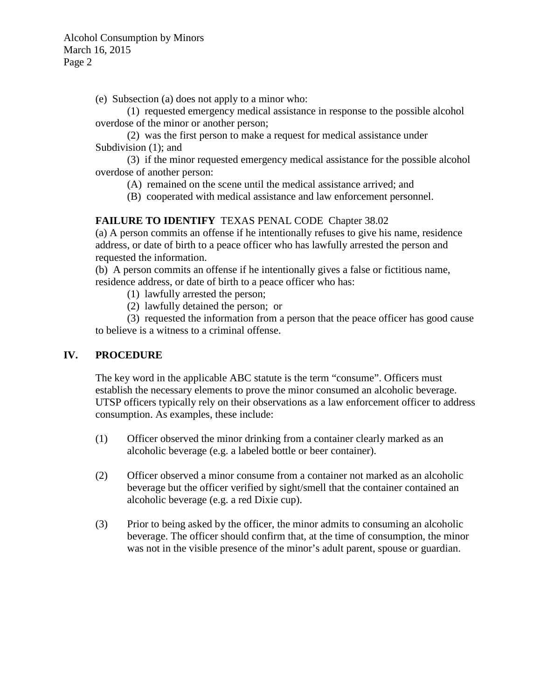Alcohol Consumption by Minors March 16, 2015 Page 2

(e) Subsection (a) does not apply to a minor who:

(1) requested emergency medical assistance in response to the possible alcohol overdose of the minor or another person;

(2) was the first person to make a request for medical assistance under Subdivision (1); and

(3) if the minor requested emergency medical assistance for the possible alcohol overdose of another person:

- (A) remained on the scene until the medical assistance arrived; and
- (B) cooperated with medical assistance and law enforcement personnel.

### **FAILURE TO IDENTIFY** TEXAS PENAL CODE Chapter 38.02

(a) A person commits an offense if he intentionally refuses to give his name, residence address, or date of birth to a peace officer who has lawfully arrested the person and requested the information.

(b) A person commits an offense if he intentionally gives a false or fictitious name, residence address, or date of birth to a peace officer who has:

(1) lawfully arrested the person;

(2) lawfully detained the person; or

(3) requested the information from a person that the peace officer has good cause to believe is a witness to a criminal offense.

## **IV. PROCEDURE**

The key word in the applicable ABC statute is the term "consume". Officers must establish the necessary elements to prove the minor consumed an alcoholic beverage. UTSP officers typically rely on their observations as a law enforcement officer to address consumption. As examples, these include:

- (1) Officer observed the minor drinking from a container clearly marked as an alcoholic beverage (e.g. a labeled bottle or beer container).
- (2) Officer observed a minor consume from a container not marked as an alcoholic beverage but the officer verified by sight/smell that the container contained an alcoholic beverage (e.g. a red Dixie cup).
- (3) Prior to being asked by the officer, the minor admits to consuming an alcoholic beverage. The officer should confirm that, at the time of consumption, the minor was not in the visible presence of the minor's adult parent, spouse or guardian.